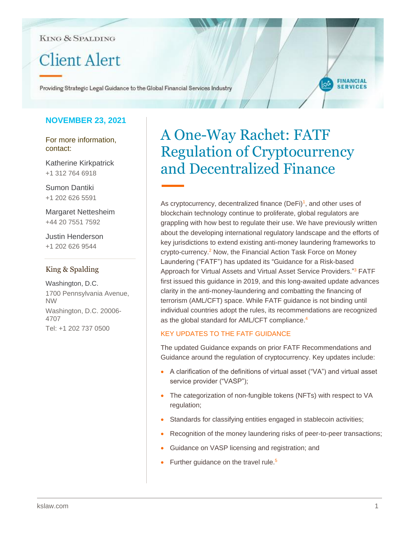## **KING & SPALDING**

# **Client Alert**

Providing Strategic Legal Guidance to the Global Financial Services Industry

## **NOVEMBER 23, 2021**

For more information, contact:

Katherine Kirkpatrick +1 312 764 6918

Sumon Dantiki +1 202 626 5591

Margaret Nettesheim +44 20 7551 7592

Justin Henderson +1 202 626 9544

## King & Spalding

Washington, D.C. 1700 Pennsylvania Avenue, NW Washington, D.C. 20006- 4707 Tel: +1 202 737 0500

## A One-Way Rachet: FATF Regulation of Cryptocurrency and Decentralized Finance

**FINANCIAL SERVICES** 

As cryptocurrency, decentralized finance  $(Defi)^1$ , and other uses of blockchain technology continue to proliferate, global regulators are grappling with how best to regulate their use. We have previously written about the developing international regulatory landscape and the efforts of key jurisdictions to extend existing anti-money laundering frameworks to crypto-currency.<sup>2</sup> Now, the Financial Action Task Force on Money Laundering ("FATF") has updated its "Guidance for a Risk-based Approach for Virtual Assets and Virtual Asset Service Providers."<sup>3</sup> FATF first issued this guidance in 2019, and this long-awaited update advances clarity in the anti-money-laundering and combatting the financing of terrorism (AML/CFT) space. While FATF guidance is not binding until individual countries adopt the rules, its recommendations are recognized as the global standard for AML/CFT compliance.<sup>4</sup>

## KEY UPDATES TO THE FATF GUIDANCE

The updated Guidance expands on prior FATF Recommendations and Guidance around the regulation of cryptocurrency. Key updates include:

- A clarification of the definitions of virtual asset ("VA") and virtual asset service provider ("VASP");
- The categorization of non-fungible tokens (NFTs) with respect to VA regulation;
- Standards for classifying entities engaged in stablecoin activities;
- Recognition of the money laundering risks of peer-to-peer transactions;
- Guidance on VASP licensing and registration; and
- Further guidance on the travel rule.<sup>5</sup>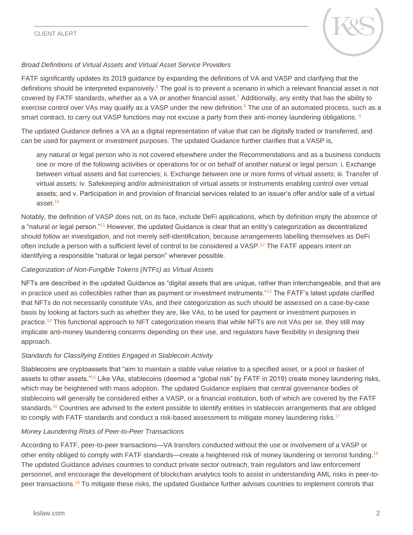

## *Broad Definitions of Virtual Assets and Virtual Asset Service Providers*

FATF significantly updates its 2019 guidance by expanding the definitions of VA and VASP and clarifying that the definitions should be interpreted expansively.<sup>6</sup> The goal is to prevent a scenario in which a relevant financial asset is not covered by FATF standards, whether as a VA or another financial asset.<sup>7</sup> Additionally, any entity that has the ability to exercise control over VAs may qualify as a VASP under the new definition.<sup>8</sup> The use of an automated process, such as a smart contract, to carry out VASP functions may not excuse a party from their anti-money laundering obligations. <sup>9</sup>

The updated Guidance defines a VA as a digital representation of value that can be digitally traded or transferred, and can be used for payment or investment purposes. The updated Guidance further clarifies that a VASP is,

any natural or legal person who is not covered elsewhere under the Recommendations and as a business conducts one or more of the following activities or operations for or on behalf of another natural or legal person: i. Exchange between virtual assets and fiat currencies; ii. Exchange between one or more forms of virtual assets; iii. Transfer of virtual assets; iv. Safekeeping and/or administration of virtual assets or instruments enabling control over virtual assets; and v. Participation in and provision of financial services related to an issuer's offer and/or sale of a virtual asset.<sup>10</sup>

Notably, the definition of VASP does not, on its face, include DeFi applications, which by definition imply the absence of a "natural or legal person."<sup>11</sup> However, the updated Guidance is clear that an entity's categorization as decentralized should follow an investigation, and not merely self-identification, because arrangements labelling themselves as DeFi often include a person with a sufficient level of control to be considered a VASP.<sup>12</sup> The FATF appears intent on identifying a responsible "natural or legal person" wherever possible.

## *Categorization of Non-Fungible Tokens (NTFs) as Virtual Assets*

NFTs are described in the updated Guidance as "digital assets that are unique, rather than interchangeable, and that are in practice used as collectibles rather than as payment or investment instruments."<sup>13</sup> The FATF's latest update clarified that NFTs do not necessarily constitute VAs, and their categorization as such should be assessed on a case-by-case basis by looking at factors such as whether they are, like VAs, to be used for payment or investment purposes in practice.<sup>14</sup> This functional approach to NFT categorization means that while NFTs are not VAs per se, they still may implicate anti-money laundering concerns depending on their use, and regulators have flexibility in designing their approach.

## *Standards for Classifying Entities Engaged in Stablecoin Activity*

Stablecoins are cryptoassets that "aim to maintain a stable value relative to a specified asset, or a pool or basket of assets to other assets."<sup>15</sup> Like VAs, stablecoins (deemed a "global risk" by FATF in 2019) create money laundering risks, which may be heightened with mass adoption. The updated Guidance explains that central governance bodies of stablecoins will generally be considered either a VASP, or a financial institution, both of which are covered by the FATF standards.<sup>16</sup> Countries are advised to the extent possible to identify entities in stablecoin arrangements that are obliged to comply with FATF standards and conduct a risk-based assessment to mitigate money laundering risks.<sup>17</sup>

## *Money Laundering Risks of Peer-to-Peer Transactions*

According to FATF, peer-to-peer transactions—VA transfers conducted without the use or involvement of a VASP or other entity obliged to comply with FATF standards—create a heightened risk of money laundering or terrorist funding.<sup>18</sup> The updated Guidance advises countries to conduct private sector outreach, train regulators and law enforcement personnel, and encourage the development of blockchain analytics tools to assist in understanding AML risks in peer-topeer transactions.<sup>19</sup> To mitigate these risks, the updated Guidance further advises countries to implement controls that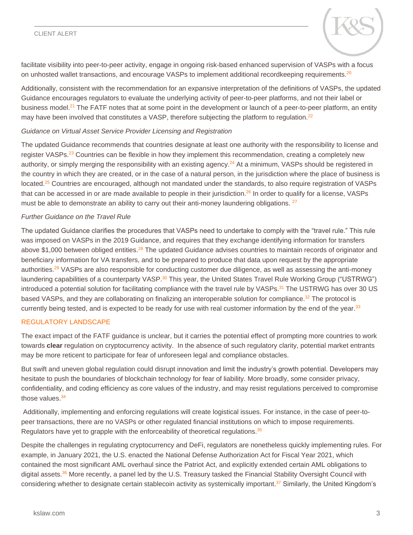#### CLIENT ALERT



facilitate visibility into peer-to-peer activity, engage in ongoing risk-based enhanced supervision of VASPs with a focus on unhosted wallet transactions, and encourage VASPs to implement additional recordkeeping requirements.<sup>20</sup>

Additionally, consistent with the recommendation for an expansive interpretation of the definitions of VASPs, the updated Guidance encourages regulators to evaluate the underlying activity of peer-to-peer platforms, and not their label or business model.<sup>21</sup> The FATF notes that at some point in the development or launch of a peer-to-peer platform, an entity may have been involved that constitutes a VASP, therefore subjecting the platform to regulation.<sup>22</sup>

#### *Guidance on Virtual Asset Service Provider Licensing and Registration*

The updated Guidance recommends that countries designate at least one authority with the responsibility to license and register VASPs.<sup>23</sup> Countries can be flexible in how they implement this recommendation, creating a completely new authority, or simply merging the responsibility with an existing agency.<sup>24</sup> At a minimum, VASPs should be registered in the country in which they are created, or in the case of a natural person, in the jurisdiction where the place of business is located.<sup>25</sup> Countries are encouraged, although not mandated under the standards, to also require registration of VASPs that can be accessed in or are made available to people in their jurisdiction.<sup>26</sup> In order to qualify for a license, VASPs must be able to demonstrate an ability to carry out their anti-money laundering obligations.  $27$ 

#### *Further Guidance on the Travel Rule*

The updated Guidance clarifies the procedures that VASPs need to undertake to comply with the "travel rule." This rule was imposed on VASPs in the 2019 Guidance, and requires that they exchange identifying information for transfers above \$1,000 between obliged entities.<sup>28</sup> The updated Guidance advises countries to maintain records of originator and beneficiary information for VA transfers, and to be prepared to produce that data upon request by the appropriate authorities.<sup>29</sup> VASPs are also responsible for conducting customer due diligence, as well as assessing the anti-money laundering capabilities of a counterparty VASP.<sup>30</sup> This year, the United States Travel Rule Working Group ("USTRWG") introduced a potential solution for facilitating compliance with the travel rule by VASPs.<sup>31</sup> The USTRWG has over 30 US based VASPs, and they are collaborating on finalizing an interoperable solution for compliance.<sup>32</sup> The protocol is currently being tested, and is expected to be ready for use with real customer information by the end of the year.<sup>33</sup>

#### REGULATORY LANDSCAPE

The exact impact of the FATF guidance is unclear, but it carries the potential effect of prompting more countries to work towards **clear** regulation on cryptocurrency activity. In the absence of such regulatory clarity, potential market entrants may be more reticent to participate for fear of unforeseen legal and compliance obstacles.

But swift and uneven global regulation could disrupt innovation and limit the industry's growth potential. Developers may hesitate to push the boundaries of blockchain technology for fear of liability. More broadly, some consider privacy, confidentiality, and coding efficiency as core values of the industry, and may resist regulations perceived to compromise those values. $34$ 

Additionally, implementing and enforcing regulations will create logistical issues. For instance, in the case of peer-topeer transactions, there are no VASPs or other regulated financial institutions on which to impose requirements. Regulators have yet to grapple with the enforceability of theoretical regulations.<sup>35</sup>

Despite the challenges in regulating cryptocurrency and DeFi, regulators are nonetheless quickly implementing rules. For example, in January 2021, the U.S. enacted the National Defense Authorization Act for Fiscal Year 2021, which contained the most significant AML overhaul since the Patriot Act, and explicitly extended certain AML obligations to digital assets.<sup>36</sup> More recently, a panel led by the U.S. Treasury tasked the Financial Stability Oversight Council with considering whether to designate certain stablecoin activity as systemically important.<sup>37</sup> Similarly, the United Kingdom's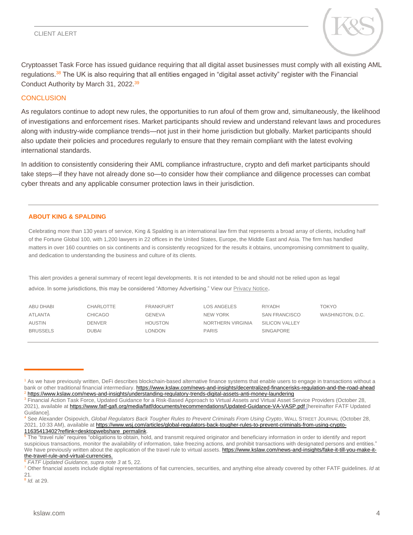#### CLIENT ALERT



Cryptoasset Task Force has issued guidance requiring that all digital asset businesses must comply with all existing AML regulations.<sup>38</sup> The UK is also requiring that all entities engaged in "digital asset activity" register with the Financial Conduct Authority by March 31, 2022.<sup>39</sup>

#### **CONCLUSION**

As regulators continue to adopt new rules, the opportunities to run afoul of them grow and, simultaneously, the likelihood of investigations and enforcement rises. Market participants should review and understand relevant laws and procedures along with industry-wide compliance trends—not just in their home jurisdiction but globally. Market participants should also update their policies and procedures regularly to ensure that they remain compliant with the latest evolving international standards.

In addition to consistently considering their AML compliance infrastructure, crypto and defi market participants should take steps—if they have not already done so—to consider how their compliance and diligence processes can combat cyber threats and any applicable consumer protection laws in their jurisdiction.

#### **ABOUT KING & SPALDING**

Celebrating more than 130 years of service, King & Spalding is an international law firm that represents a broad array of clients, including half of the Fortune Global 100, with 1,200 lawyers in 22 offices in the United States, Europe, the Middle East and Asia. The firm has handled matters in over 160 countries on six continents and is consistently recognized for the results it obtains, uncompromising commitment to quality, and dedication to understanding the business and culture of its clients.

This alert provides a general summary of recent legal developments. It is not intended to be and should not be relied upon as legal advice. In some jurisdictions, this may be considered "Attorney Advertising." View our [Privacy Notice](https://www.kslaw.com/pages/privacy-notice).

| ABU DHABI       | CHARLOTTE      | <b>FRANKFURT</b> | <b>LOS ANGELES</b> | RIYADH                | TOKYO            |
|-----------------|----------------|------------------|--------------------|-----------------------|------------------|
| <b>ATLANTA</b>  | <b>CHICAGO</b> | <b>GENEVA</b>    | NEW YORK           | <b>SAN FRANCISCO</b>  | WASHINGTON, D.C. |
| <b>AUSTIN</b>   | <b>DENVER</b>  | <b>HOUSTON</b>   | NORTHERN VIRGINIA  | <b>SILICON VALLEY</b> |                  |
| <b>BRUSSELS</b> | <b>DUBAI</b>   | LONDON           | <b>PARIS</b>       | <b>SINGAPORE</b>      |                  |
|                 |                |                  |                    |                       |                  |

<sup>6</sup> *FATF Updated Guidance, supra note 3* at 5, 22.

8 *Id.* at 29.

————

<sup>&</sup>lt;sup>1</sup> As we have previously written, DeFi describes blockchain-based alternative finance systems that enable users to engage in transactions without a bank or other traditional financial intermediary.<https://www.kslaw.com/news-and-insights/decentralized-financerisks-regulation-and-the-road-ahead> <sup>2</sup> <https://www.kslaw.com/news-and-insights/understanding-regulatory-trends-digital-assets-anti-money-laundering>

<sup>&</sup>lt;sup>3</sup> Financial Action Task Force, Updated Guidance for a Risk-Based Approach to Virtual Assets and Virtual Asset Service Providers (October 28, 2021), available a[t https://www.fatf-gafi.org/media/fatf/documents/recommendations/Updated-Guidance-VA-VASP.pdf](https://www.fatf-gafi.org/media/fatf/documents/recommendations/Updated-Guidance-VA-VASP.pdf) [hereinafter FATF Updated Guidance].

<sup>4</sup> See Alexander Osipovich, *Global Regulators Back Tougher Rules to Prevent Criminals From Using Crypto*, WALL STREET JOURNAL (October 28, 2021, 10:33 AM), available a[t https://www.wsj.com/articles/global-regulators-back-tougher-rules-to-prevent-criminals-from-using-crypto-](https://www.wsj.com/articles/global-regulators-back-tougher-rules-to-prevent-criminals-from-using-crypto-11635413402?reflink=desktopwebshare_permalink)[11635413402?reflink=desktopwebshare\\_permalink.](https://www.wsj.com/articles/global-regulators-back-tougher-rules-to-prevent-criminals-from-using-crypto-11635413402?reflink=desktopwebshare_permalink)

<sup>&</sup>lt;sup>5</sup> The "travel rule" requires "obligations to obtain, hold, and transmit required originator and beneficiary information in order to identify and report suspicious transactions, monitor the availability of information, take freezing actions, and prohibit transactions with designated persons and entities." We have previously written about the application of the travel rule to virtual assets[. https://www.kslaw.com/news-and-insights/fake-it-till-you-make-it](https://www.kslaw.com/news-and-insights/fake-it-till-you-make-it-the-travel-rule-and-virtual-currencies)[the-travel-rule-and-virtual-currencies.](https://www.kslaw.com/news-and-insights/fake-it-till-you-make-it-the-travel-rule-and-virtual-currencies)

<sup>7</sup> Other financial assets include digital representations of fiat currencies, securities, and anything else already covered by other FATF guidelines. *Id* at 21*.*